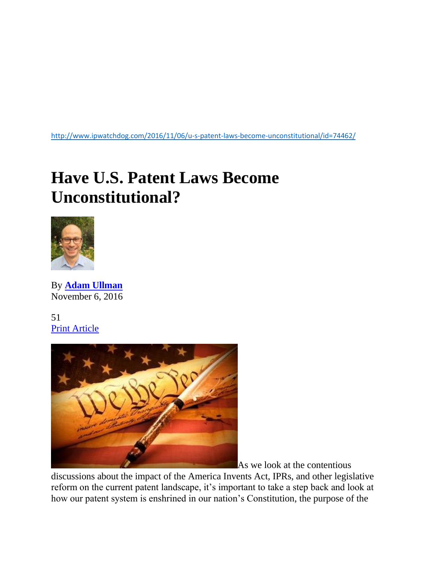<http://www.ipwatchdog.com/2016/11/06/u-s-patent-laws-become-unconstitutional/id=74462/>

## **Have U.S. Patent Laws Become Unconstitutional?**



By **[Adam Ullman](http://www.ipwatchdog.com/author/adam-llman/)** November 6, 2016

51 [Print Article](javascript:window.print();)



As we look at the contentious

discussions about the impact of the America Invents Act, IPRs, and other legislative reform on the current patent landscape, it's important to take a step back and look at how our patent system is enshrined in our nation's Constitution, the purpose of the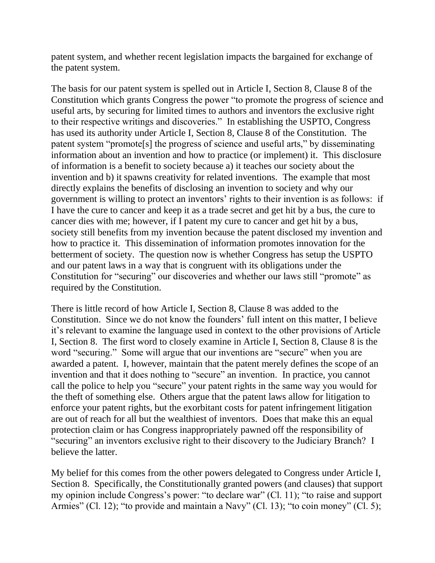patent system, and whether recent legislation impacts the bargained for exchange of the patent system.

The basis for our patent system is spelled out in Article I, Section 8, Clause 8 of the Constitution which grants Congress the power "to promote the progress of science and useful arts, by securing for limited times to authors and inventors the exclusive right to their respective writings and discoveries." In establishing the USPTO, Congress has used its authority under Article I, Section 8, Clause 8 of the Constitution. The patent system "promote[s] the progress of science and useful arts," by disseminating information about an invention and how to practice (or implement) it. This disclosure of information is a benefit to society because a) it teaches our society about the invention and b) it spawns creativity for related inventions. The example that most directly explains the benefits of disclosing an invention to society and why our government is willing to protect an inventors' rights to their invention is as follows: if I have the cure to cancer and keep it as a trade secret and get hit by a bus, the cure to cancer dies with me; however, if I patent my cure to cancer and get hit by a bus, society still benefits from my invention because the patent disclosed my invention and how to practice it. This dissemination of information promotes innovation for the betterment of society. The question now is whether Congress has setup the USPTO and our patent laws in a way that is congruent with its obligations under the Constitution for "securing" our discoveries and whether our laws still "promote" as required by the Constitution.

There is little record of how Article I, Section 8, Clause 8 was added to the Constitution. Since we do not know the founders' full intent on this matter, I believe it's relevant to examine the language used in context to the other provisions of Article I, Section 8. The first word to closely examine in Article I, Section 8, Clause 8 is the word "securing." Some will argue that our inventions are "secure" when you are awarded a patent. I, however, maintain that the patent merely defines the scope of an invention and that it does nothing to "secure" an invention. In practice, you cannot call the police to help you "secure" your patent rights in the same way you would for the theft of something else. Others argue that the patent laws allow for litigation to enforce your patent rights, but the exorbitant costs for patent infringement litigation are out of reach for all but the wealthiest of inventors. Does that make this an equal protection claim or has Congress inappropriately pawned off the responsibility of "securing" an inventors exclusive right to their discovery to the Judiciary Branch? I believe the latter.

My belief for this comes from the other powers delegated to Congress under Article I, Section 8. Specifically, the Constitutionally granted powers (and clauses) that support my opinion include Congress's power: "to declare war" (Cl. 11); "to raise and support Armies" (Cl. 12); "to provide and maintain a Navy" (Cl. 13); "to coin money" (Cl. 5);